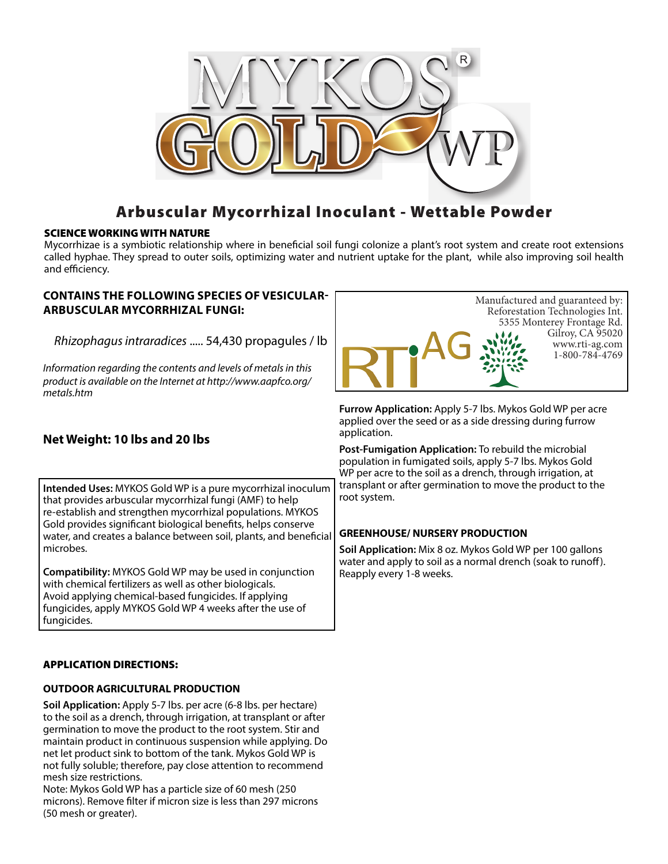

# Arbuscular Mycorrhizal Inoculant - Wettable Powder

### SCIENCE WORKING WITH NATURE

Mycorrhizae is a symbiotic relationship where in beneficial soil fungi colonize a plant's root system and create root extensions called hyphae. They spread to outer soils, optimizing water and nutrient uptake for the plant, while also improving soil health and efficiency.

### **CONTAINS THE FOLLOWING SPECIES OF VESICULAR-ARBUSCULAR MYCORRHIZAL FUNGI:**

*Rhizophagus intraradices* ..... 54,430 propagules / lb

*Information regarding the contents and levels of metals in this product is available on the Internet at http://www.aapfco.org/ metals.htm*



**Furrow Application:** Apply 5-7 lbs. Mykos Gold WP per acre applied over the seed or as a side dressing during furrow application.

**Post-Fumigation Application:** To rebuild the microbial population in fumigated soils, apply 5-7 lbs. Mykos Gold WP per acre to the soil as a drench, through irrigation, at transplant or after germination to move the product to the root system.

### **GREENHOUSE/ NURSERY PRODUCTION**

**Soil Application:** Mix 8 oz. Mykos Gold WP per 100 gallons water and apply to soil as a normal drench (soak to runoff). Reapply every 1-8 weeks.

## **Net Weight: 10 lbs and 20 lbs**

**Intended Uses:** MYKOS Gold WP is a pure mycorrhizal inoculum that provides arbuscular mycorrhizal fungi (AMF) to help re-establish and strengthen mycorrhizal populations. MYKOS Gold provides significant biological benefits, helps conserve water, and creates a balance between soil, plants, and beneficial microbes.

**Compatibility:** MYKOS Gold WP may be used in conjunction with chemical fertilizers as well as other biologicals. Avoid applying chemical-based fungicides. If applying fungicides, apply MYKOS Gold WP 4 weeks after the use of fungicides.

### APPLICATION DIRECTIONS:

### **OUTDOOR AGRICULTURAL PRODUCTION**

**Soil Application:** Apply 5-7 lbs. per acre (6-8 lbs. per hectare) to the soil as a drench, through irrigation, at transplant or after germination to move the product to the root system. Stir and maintain product in continuous suspension while applying. Do net let product sink to bottom of the tank. Mykos Gold WP is not fully soluble; therefore, pay close attention to recommend mesh size restrictions.

Note: Mykos Gold WP has a particle size of 60 mesh (250 microns). Remove filter if micron size is less than 297 microns (50 mesh or greater).